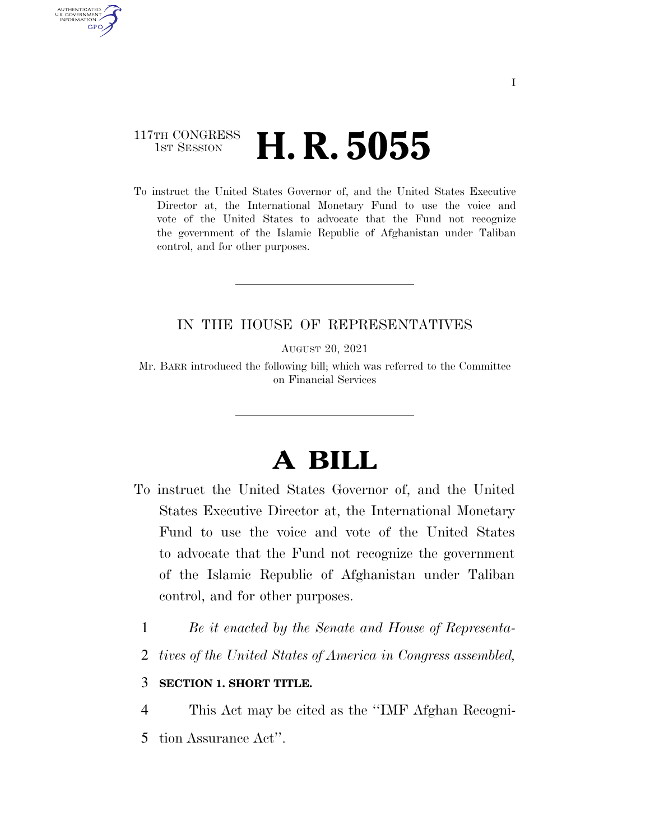### 117TH CONGRESS **1st Session H. R. 5055**

AUTHENTICATED U.S. GOVERNMENT **GPO** 

> To instruct the United States Governor of, and the United States Executive Director at, the International Monetary Fund to use the voice and vote of the United States to advocate that the Fund not recognize the government of the Islamic Republic of Afghanistan under Taliban control, and for other purposes.

### IN THE HOUSE OF REPRESENTATIVES

AUGUST 20, 2021

Mr. BARR introduced the following bill; which was referred to the Committee on Financial Services

# **A BILL**

- To instruct the United States Governor of, and the United States Executive Director at, the International Monetary Fund to use the voice and vote of the United States to advocate that the Fund not recognize the government of the Islamic Republic of Afghanistan under Taliban control, and for other purposes.
	- 1 *Be it enacted by the Senate and House of Representa-*
	- 2 *tives of the United States of America in Congress assembled,*

#### 3 **SECTION 1. SHORT TITLE.**

- 4 This Act may be cited as the ''IMF Afghan Recogni-
- 5 tion Assurance Act''.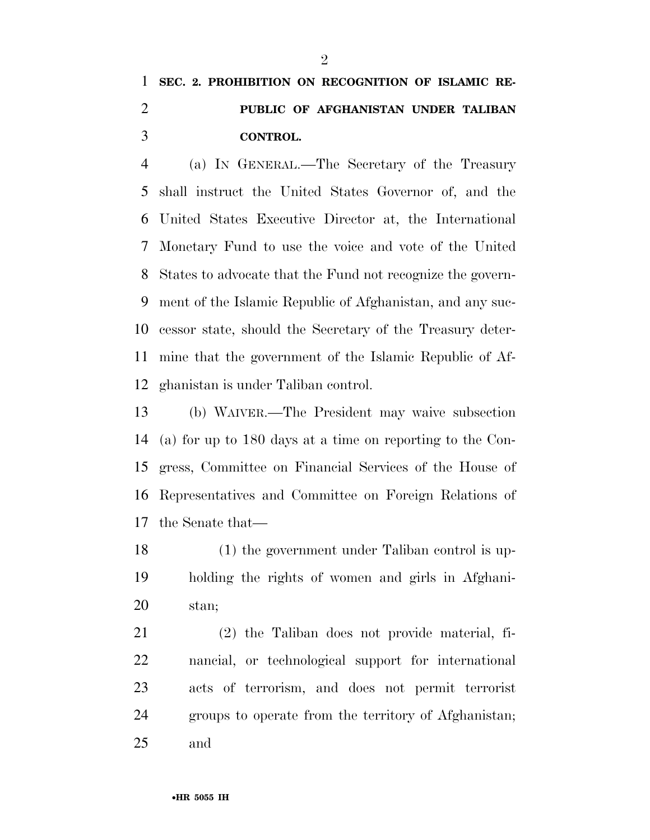## **SEC. 2. PROHIBITION ON RECOGNITION OF ISLAMIC RE- PUBLIC OF AFGHANISTAN UNDER TALIBAN CONTROL.**

 (a) IN GENERAL.—The Secretary of the Treasury shall instruct the United States Governor of, and the United States Executive Director at, the International Monetary Fund to use the voice and vote of the United States to advocate that the Fund not recognize the govern- ment of the Islamic Republic of Afghanistan, and any suc- cessor state, should the Secretary of the Treasury deter- mine that the government of the Islamic Republic of Af-ghanistan is under Taliban control.

 (b) WAIVER.—The President may waive subsection (a) for up to 180 days at a time on reporting to the Con- gress, Committee on Financial Services of the House of Representatives and Committee on Foreign Relations of the Senate that—

 (1) the government under Taliban control is up- holding the rights of women and girls in Afghani-stan;

 (2) the Taliban does not provide material, fi- nancial, or technological support for international acts of terrorism, and does not permit terrorist groups to operate from the territory of Afghanistan; and